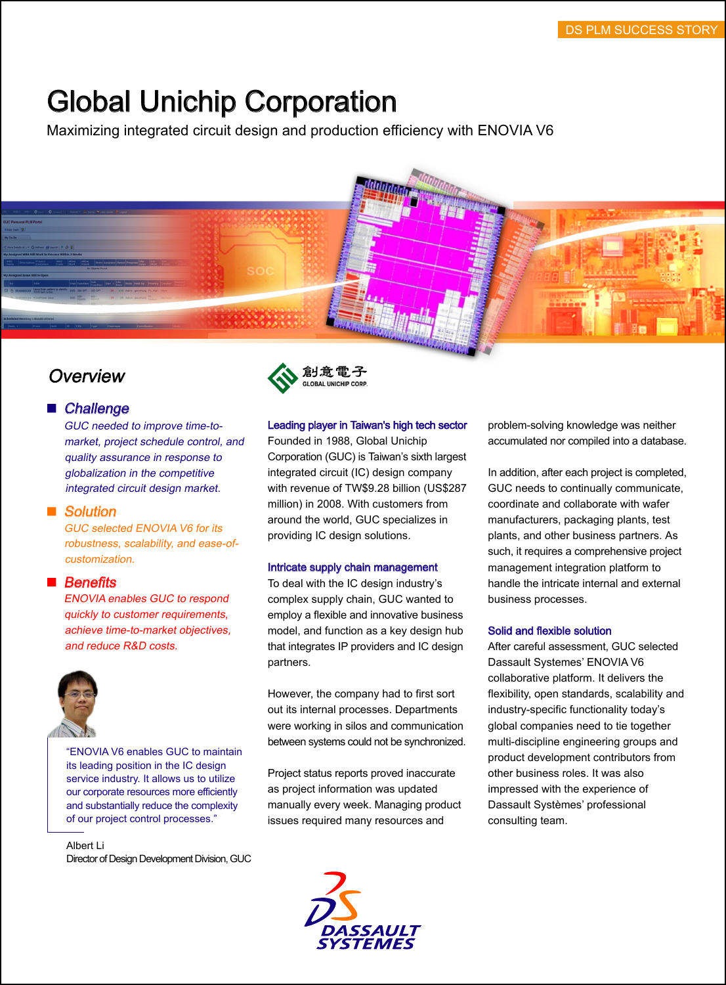# Global Unichip Corporation

Maximizing integrated circuit design and production efficiency with ENOVIA V6



# **Overview**

# ■ Challenge

GUC needed to improve time-to market, project schedule control, and quality assurance in response to globalization in the competitive integrated circuit design market.

#### ■ Solution

GUC selected ENOVIA V6 for its robustness, scalability, and ease-of customization.

# $\blacksquare$  Benefits

ENOVIA enables GUC to respond quickly to customer requirements, achieve time-to-market objectives, and reduce R&D costs.



"ENOVIA V6 enables GUC to maintain its leading position in the IC design service industry. It allows us to utilize our corporate resources more efficiently and substantially reduce the complexity of our project control processes."

Albert Li Director of Design Development Division, GUC



### Leading player in Taiwan's high tech sector

Founded in 1988, Global Unichip Corporation (GUC) is Taiwan's sixth largest integrated circuit (IC) design company with revenue of TW\$9.28 billion (US\$287 million) in 2008. With customers from around the world, GUC specializes in providing IC design solutions.

#### Intricate supply chain management

To deal with the IC design industry's complex supply chain, GUC wanted to employ a flexible and innovative business model, and function as a key design hub that integrates IP providers and IC design partners.

However, the company had to first sort out its internal processes. Departments were working in silos and communication between systems could not be synchronized.

Project status reports proved inaccurate as project information was updated manually every week. Managing product issues required many resources and



problem-solving knowledge was neither accumulated nor compiled into a database.

In addition, after each project is completed, GUC needs to continually communicate, coordinate and collaborate with wafer manufacturers, packaging plants, test plants, and other business partners. As such, it requires a comprehensive project management integration platform to handle the intricate internal and external business processes.

#### Solid and flexible solution

After careful assessment, GUC selected Dassault Systemes' ENOVIA V6 collaborative platform. It delivers the flexibility, open standards, scalability and industry-specific functionality today's global companies need to tie together multi-discipline engineering groups and product development contributors from other business roles. It was also impressed with the experience of Dassault Systèmes' professional consulting team.